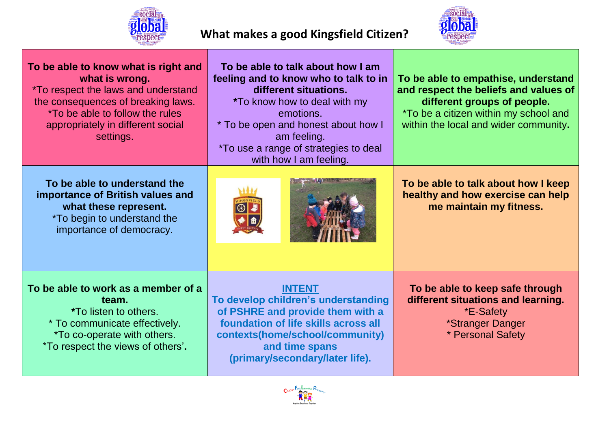

## **What makes a good Kingsfield Citizen?**



| To be able to know what is right and<br>what is wrong.<br><i>*To respect the laws and understand</i><br>the consequences of breaking laws.<br>*To be able to follow the rules<br>appropriately in different social<br>settings. | To be able to talk about how I am<br>feeling and to know who to talk to in<br>different situations.<br><i>*</i> To know how to deal with my<br>emotions.<br>* To be open and honest about how I<br>am feeling.<br>*To use a range of strategies to deal<br>with how I am feeling. | To be able to empathise, understand<br>and respect the beliefs and values of<br>different groups of people.<br><i>*To be a citizen within my school and</i><br>within the local and wider community. |
|---------------------------------------------------------------------------------------------------------------------------------------------------------------------------------------------------------------------------------|-----------------------------------------------------------------------------------------------------------------------------------------------------------------------------------------------------------------------------------------------------------------------------------|------------------------------------------------------------------------------------------------------------------------------------------------------------------------------------------------------|
| To be able to understand the<br>importance of British values and<br>what these represent.<br><i>*To begin to understand the</i><br>importance of democracy.                                                                     |                                                                                                                                                                                                                                                                                   | To be able to talk about how I keep<br>healthy and how exercise can help<br>me maintain my fitness.                                                                                                  |
| To be able to work as a member of a<br>team.<br><i>*To listen to others.</i><br>* To communicate effectively.<br><i>*To co-operate with others.</i><br>*To respect the views of others'.                                        | <b>INTENT</b><br>To develop children's understanding<br>of PSHRE and provide them with a<br>foundation of life skills across all<br>contexts(home/school/community)<br>and time spans<br>(primary/secondary/later life).                                                          | To be able to keep safe through<br>different situations and learning.<br>*E-Safety<br>*Stranger Danger<br>* Personal Safety                                                                          |